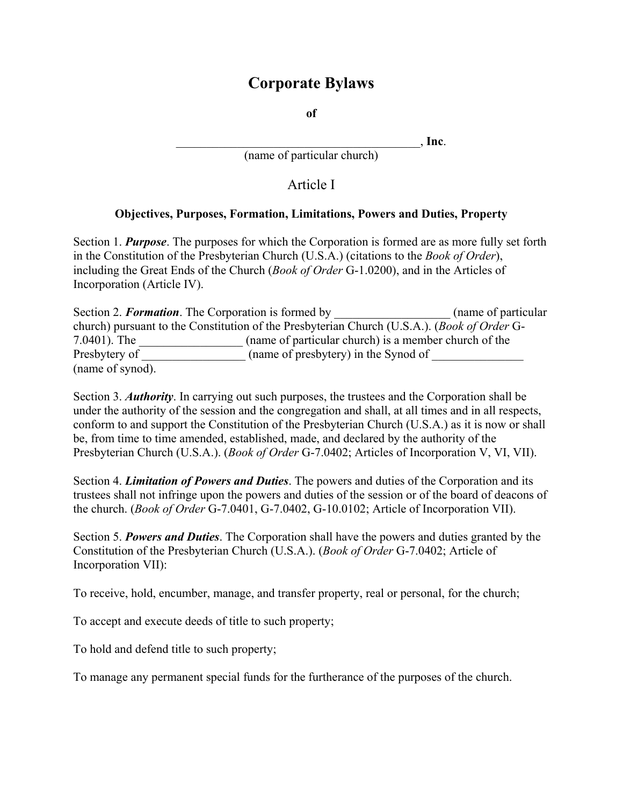# **Corporate Bylaws**

**of** 

\_\_\_\_\_\_\_\_\_\_\_\_\_\_\_\_\_\_\_\_\_\_\_\_\_\_\_\_\_\_\_\_\_\_\_\_\_\_\_\_, **Inc**.

(name of particular church)

Article I

#### **Objectives, Purposes, Formation, Limitations, Powers and Duties, Property**

Section 1. *Purpose*. The purposes for which the Corporation is formed are as more fully set forth in the Constitution of the Presbyterian Church (U.S.A.) (citations to the *Book of Order*), including the Great Ends of the Church (*Book of Order* G-1.0200), and in the Articles of Incorporation (Article IV).

Section 2. *Formation*. The Corporation is formed by \_\_\_\_\_\_\_\_\_\_\_\_\_\_\_\_\_\_\_ (name of particular church) pursuant to the Constitution of the Presbyterian Church (U.S.A.). (*Book of Order* G-7.0401). The \_\_\_\_\_\_\_\_\_\_\_\_\_\_\_\_\_ (name of particular church) is a member church of the Presbytery of  $\qquad \qquad$  (name of presbytery) in the Synod of (name of synod).

Section 3. *Authority*. In carrying out such purposes, the trustees and the Corporation shall be under the authority of the session and the congregation and shall, at all times and in all respects, conform to and support the Constitution of the Presbyterian Church (U.S.A.) as it is now or shall be, from time to time amended, established, made, and declared by the authority of the Presbyterian Church (U.S.A.). (*Book of Order* G-7.0402; Articles of Incorporation V, VI, VII).

Section 4. *Limitation of Powers and Duties*. The powers and duties of the Corporation and its trustees shall not infringe upon the powers and duties of the session or of the board of deacons of the church. (*Book of Order* G-7.0401, G-7.0402, G-10.0102; Article of Incorporation VII).

Section 5. *Powers and Duties*. The Corporation shall have the powers and duties granted by the Constitution of the Presbyterian Church (U.S.A.). (*Book of Order* G-7.0402; Article of Incorporation VII):

To receive, hold, encumber, manage, and transfer property, real or personal, for the church;

To accept and execute deeds of title to such property;

To hold and defend title to such property;

To manage any permanent special funds for the furtherance of the purposes of the church.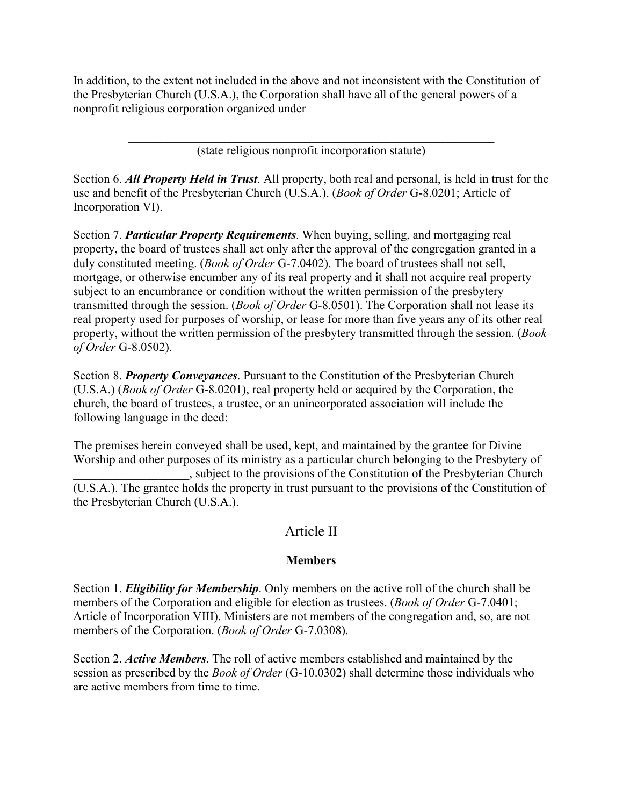In addition, to the extent not included in the above and not inconsistent with the Constitution of the Presbyterian Church (U.S.A.), the Corporation shall have all of the general powers of a nonprofit religious corporation organized under

> $\mathcal{L}_\text{max}$  and the contract of the contract of the contract of the contract of the contract of the contract of (state religious nonprofit incorporation statute)

Section 6. *All Property Held in Trust*. All property, both real and personal, is held in trust for the use and benefit of the Presbyterian Church (U.S.A.). (*Book of Order* G-8.0201; Article of Incorporation VI).

Section 7. *Particular Property Requirements*. When buying, selling, and mortgaging real property, the board of trustees shall act only after the approval of the congregation granted in a duly constituted meeting. (*Book of Order* G-7.0402). The board of trustees shall not sell, mortgage, or otherwise encumber any of its real property and it shall not acquire real property subject to an encumbrance or condition without the written permission of the presbytery transmitted through the session. (*Book of Order* G-8.0501). The Corporation shall not lease its real property used for purposes of worship, or lease for more than five years any of its other real property, without the written permission of the presbytery transmitted through the session. (*Book of Order* G-8.0502).

Section 8. *Property Conveyances*. Pursuant to the Constitution of the Presbyterian Church (U.S.A.) (*Book of Order* G-8.0201), real property held or acquired by the Corporation, the church, the board of trustees, a trustee, or an unincorporated association will include the following language in the deed:

The premises herein conveyed shall be used, kept, and maintained by the grantee for Divine Worship and other purposes of its ministry as a particular church belonging to the Presbytery of \_\_\_\_\_\_\_\_\_\_\_\_\_\_\_\_\_\_\_, subject to the provisions of the Constitution of the Presbyterian Church (U.S.A.). The grantee holds the property in trust pursuant to the provisions of the Constitution of the Presbyterian Church (U.S.A.).

## Article II

#### **Members**

Section 1. *Eligibility for Membership*. Only members on the active roll of the church shall be members of the Corporation and eligible for election as trustees. (*Book of Order* G-7.0401; Article of Incorporation VIII). Ministers are not members of the congregation and, so, are not members of the Corporation. (*Book of Order* G-7.0308).

Section 2. *Active Members*. The roll of active members established and maintained by the session as prescribed by the *Book of Order* (G-10.0302) shall determine those individuals who are active members from time to time.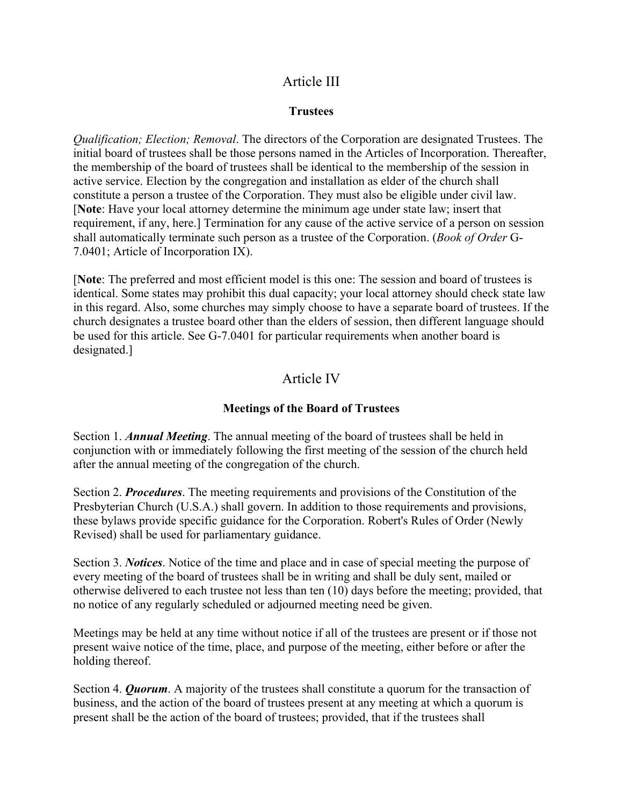# Article III

#### **Trustees**

*Qualification; Election; Removal*. The directors of the Corporation are designated Trustees. The initial board of trustees shall be those persons named in the Articles of Incorporation. Thereafter, the membership of the board of trustees shall be identical to the membership of the session in active service. Election by the congregation and installation as elder of the church shall constitute a person a trustee of the Corporation. They must also be eligible under civil law. [**Note**: Have your local attorney determine the minimum age under state law; insert that requirement, if any, here.] Termination for any cause of the active service of a person on session shall automatically terminate such person as a trustee of the Corporation. (*Book of Order* G-7.0401; Article of Incorporation IX).

[**Note**: The preferred and most efficient model is this one: The session and board of trustees is identical. Some states may prohibit this dual capacity; your local attorney should check state law in this regard. Also, some churches may simply choose to have a separate board of trustees. If the church designates a trustee board other than the elders of session, then different language should be used for this article. See G-7.0401 for particular requirements when another board is designated.]

# Article IV

### **Meetings of the Board of Trustees**

Section 1. *Annual Meeting*. The annual meeting of the board of trustees shall be held in conjunction with or immediately following the first meeting of the session of the church held after the annual meeting of the congregation of the church.

Section 2. *Procedures*. The meeting requirements and provisions of the Constitution of the Presbyterian Church (U.S.A.) shall govern. In addition to those requirements and provisions, these bylaws provide specific guidance for the Corporation. Robert's Rules of Order (Newly Revised) shall be used for parliamentary guidance.

Section 3. *Notices*. Notice of the time and place and in case of special meeting the purpose of every meeting of the board of trustees shall be in writing and shall be duly sent, mailed or otherwise delivered to each trustee not less than ten (10) days before the meeting; provided, that no notice of any regularly scheduled or adjourned meeting need be given.

Meetings may be held at any time without notice if all of the trustees are present or if those not present waive notice of the time, place, and purpose of the meeting, either before or after the holding thereof.

Section 4. *Quorum*. A majority of the trustees shall constitute a quorum for the transaction of business, and the action of the board of trustees present at any meeting at which a quorum is present shall be the action of the board of trustees; provided, that if the trustees shall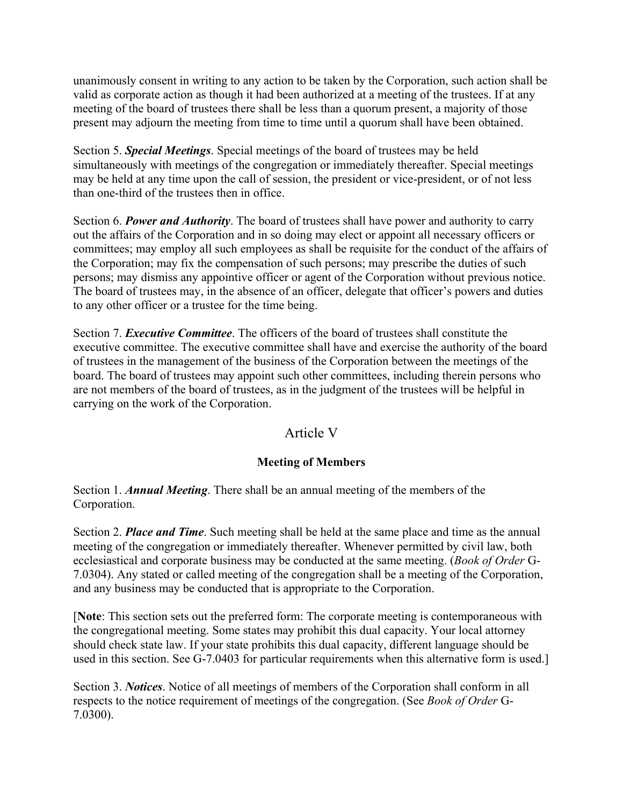unanimously consent in writing to any action to be taken by the Corporation, such action shall be valid as corporate action as though it had been authorized at a meeting of the trustees. If at any meeting of the board of trustees there shall be less than a quorum present, a majority of those present may adjourn the meeting from time to time until a quorum shall have been obtained.

Section 5. *Special Meetings*. Special meetings of the board of trustees may be held simultaneously with meetings of the congregation or immediately thereafter. Special meetings may be held at any time upon the call of session, the president or vice-president, or of not less than one-third of the trustees then in office.

Section 6. *Power and Authority*. The board of trustees shall have power and authority to carry out the affairs of the Corporation and in so doing may elect or appoint all necessary officers or committees; may employ all such employees as shall be requisite for the conduct of the affairs of the Corporation; may fix the compensation of such persons; may prescribe the duties of such persons; may dismiss any appointive officer or agent of the Corporation without previous notice. The board of trustees may, in the absence of an officer, delegate that officer's powers and duties to any other officer or a trustee for the time being.

Section 7. *Executive Committee*. The officers of the board of trustees shall constitute the executive committee. The executive committee shall have and exercise the authority of the board of trustees in the management of the business of the Corporation between the meetings of the board. The board of trustees may appoint such other committees, including therein persons who are not members of the board of trustees, as in the judgment of the trustees will be helpful in carrying on the work of the Corporation.

## Article V

### **Meeting of Members**

Section 1. *Annual Meeting*. There shall be an annual meeting of the members of the Corporation.

Section 2. *Place and Time*. Such meeting shall be held at the same place and time as the annual meeting of the congregation or immediately thereafter. Whenever permitted by civil law, both ecclesiastical and corporate business may be conducted at the same meeting. (*Book of Order* G-7.0304). Any stated or called meeting of the congregation shall be a meeting of the Corporation, and any business may be conducted that is appropriate to the Corporation.

[**Note**: This section sets out the preferred form: The corporate meeting is contemporaneous with the congregational meeting. Some states may prohibit this dual capacity. Your local attorney should check state law. If your state prohibits this dual capacity, different language should be used in this section. See G-7.0403 for particular requirements when this alternative form is used.]

Section 3. *Notices*. Notice of all meetings of members of the Corporation shall conform in all respects to the notice requirement of meetings of the congregation. (See *Book of Order* G-7.0300).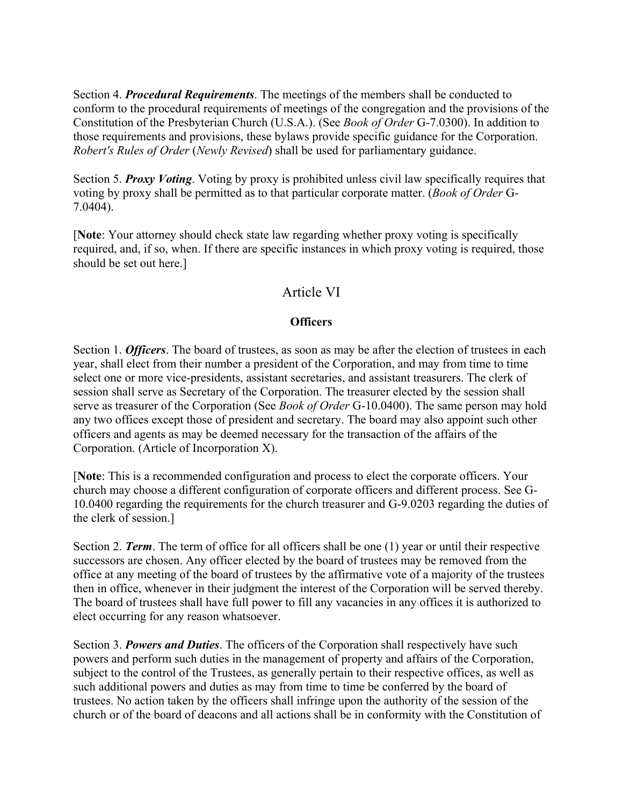Section 4. *Procedural Requirements*. The meetings of the members shall be conducted to conform to the procedural requirements of meetings of the congregation and the provisions of the Constitution of the Presbyterian Church (U.S.A.). (See *Book of Order* G-7.0300). In addition to those requirements and provisions, these bylaws provide specific guidance for the Corporation. *Robert's Rules of Order* (*Newly Revised*) shall be used for parliamentary guidance.

Section 5. *Proxy Voting*. Voting by proxy is prohibited unless civil law specifically requires that voting by proxy shall be permitted as to that particular corporate matter. (*Book of Order* G-7.0404).

[**Note**: Your attorney should check state law regarding whether proxy voting is specifically required, and, if so, when. If there are specific instances in which proxy voting is required, those should be set out here.]

## Article VI

#### **Officers**

Section 1. *Officers*. The board of trustees, as soon as may be after the election of trustees in each year, shall elect from their number a president of the Corporation, and may from time to time select one or more vice-presidents, assistant secretaries, and assistant treasurers. The clerk of session shall serve as Secretary of the Corporation. The treasurer elected by the session shall serve as treasurer of the Corporation (See *Book of Order* G-10.0400). The same person may hold any two offices except those of president and secretary. The board may also appoint such other officers and agents as may be deemed necessary for the transaction of the affairs of the Corporation. (Article of Incorporation X).

[**Note**: This is a recommended configuration and process to elect the corporate officers. Your church may choose a different configuration of corporate officers and different process. See G-10.0400 regarding the requirements for the church treasurer and G-9.0203 regarding the duties of the clerk of session.]

Section 2. **Term**. The term of office for all officers shall be one (1) year or until their respective successors are chosen. Any officer elected by the board of trustees may be removed from the office at any meeting of the board of trustees by the affirmative vote of a majority of the trustees then in office, whenever in their judgment the interest of the Corporation will be served thereby. The board of trustees shall have full power to fill any vacancies in any offices it is authorized to elect occurring for any reason whatsoever.

Section 3. *Powers and Duties*. The officers of the Corporation shall respectively have such powers and perform such duties in the management of property and affairs of the Corporation, subject to the control of the Trustees, as generally pertain to their respective offices, as well as such additional powers and duties as may from time to time be conferred by the board of trustees. No action taken by the officers shall infringe upon the authority of the session of the church or of the board of deacons and all actions shall be in conformity with the Constitution of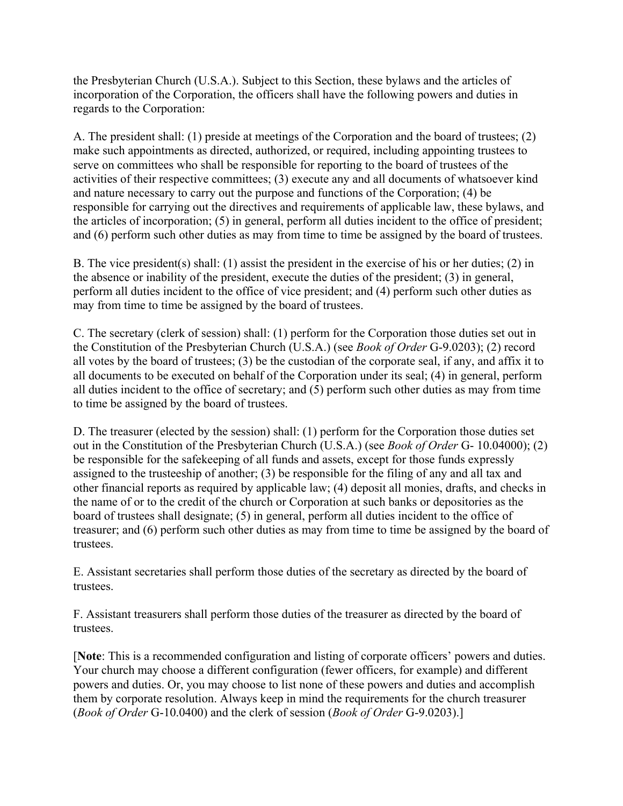the Presbyterian Church (U.S.A.). Subject to this Section, these bylaws and the articles of incorporation of the Corporation, the officers shall have the following powers and duties in regards to the Corporation:

A. The president shall: (1) preside at meetings of the Corporation and the board of trustees; (2) make such appointments as directed, authorized, or required, including appointing trustees to serve on committees who shall be responsible for reporting to the board of trustees of the activities of their respective committees; (3) execute any and all documents of whatsoever kind and nature necessary to carry out the purpose and functions of the Corporation; (4) be responsible for carrying out the directives and requirements of applicable law, these bylaws, and the articles of incorporation; (5) in general, perform all duties incident to the office of president; and (6) perform such other duties as may from time to time be assigned by the board of trustees.

B. The vice president(s) shall: (1) assist the president in the exercise of his or her duties; (2) in the absence or inability of the president, execute the duties of the president; (3) in general, perform all duties incident to the office of vice president; and (4) perform such other duties as may from time to time be assigned by the board of trustees.

C. The secretary (clerk of session) shall: (1) perform for the Corporation those duties set out in the Constitution of the Presbyterian Church (U.S.A.) (see *Book of Order* G-9.0203); (2) record all votes by the board of trustees; (3) be the custodian of the corporate seal, if any, and affix it to all documents to be executed on behalf of the Corporation under its seal; (4) in general, perform all duties incident to the office of secretary; and (5) perform such other duties as may from time to time be assigned by the board of trustees.

D. The treasurer (elected by the session) shall: (1) perform for the Corporation those duties set out in the Constitution of the Presbyterian Church (U.S.A.) (see *Book of Order* G- 10.04000); (2) be responsible for the safekeeping of all funds and assets, except for those funds expressly assigned to the trusteeship of another; (3) be responsible for the filing of any and all tax and other financial reports as required by applicable law; (4) deposit all monies, drafts, and checks in the name of or to the credit of the church or Corporation at such banks or depositories as the board of trustees shall designate; (5) in general, perform all duties incident to the office of treasurer; and (6) perform such other duties as may from time to time be assigned by the board of trustees.

E. Assistant secretaries shall perform those duties of the secretary as directed by the board of trustees.

F. Assistant treasurers shall perform those duties of the treasurer as directed by the board of trustees.

[**Note**: This is a recommended configuration and listing of corporate officers' powers and duties. Your church may choose a different configuration (fewer officers, for example) and different powers and duties. Or, you may choose to list none of these powers and duties and accomplish them by corporate resolution. Always keep in mind the requirements for the church treasurer (*Book of Order* G-10.0400) and the clerk of session (*Book of Order* G-9.0203).]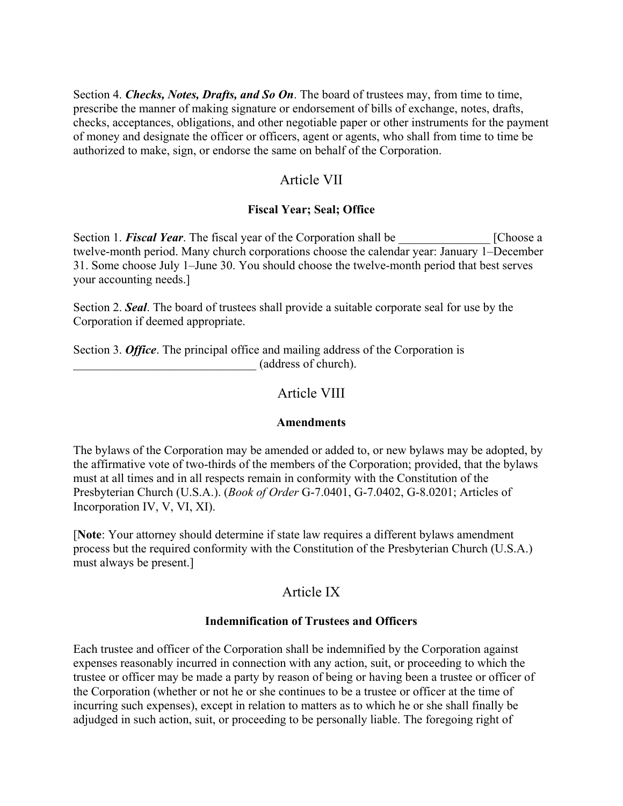Section 4. *Checks, Notes, Drafts, and So On*. The board of trustees may, from time to time, prescribe the manner of making signature or endorsement of bills of exchange, notes, drafts, checks, acceptances, obligations, and other negotiable paper or other instruments for the payment of money and designate the officer or officers, agent or agents, who shall from time to time be authorized to make, sign, or endorse the same on behalf of the Corporation.

# Article VII

### **Fiscal Year; Seal; Office**

Section 1. **Fiscal Year**. The fiscal year of the Corporation shall be [Choose a twelve-month period. Many church corporations choose the calendar year: January 1–December 31. Some choose July 1–June 30. You should choose the twelve-month period that best serves your accounting needs.]

Section 2. *Seal*. The board of trustees shall provide a suitable corporate seal for use by the Corporation if deemed appropriate.

Section 3. *Office*. The principal office and mailing address of the Corporation is \_\_\_\_\_\_\_\_\_\_\_\_\_\_\_\_\_\_\_\_\_\_\_\_\_\_\_\_\_\_ (address of church).

# Article VIII

### **Amendments**

The bylaws of the Corporation may be amended or added to, or new bylaws may be adopted, by the affirmative vote of two-thirds of the members of the Corporation; provided, that the bylaws must at all times and in all respects remain in conformity with the Constitution of the Presbyterian Church (U.S.A.). (*Book of Order* G-7.0401, G-7.0402, G-8.0201; Articles of Incorporation IV, V, VI, XI).

[**Note**: Your attorney should determine if state law requires a different bylaws amendment process but the required conformity with the Constitution of the Presbyterian Church (U.S.A.) must always be present.]

# Article IX

### **Indemnification of Trustees and Officers**

Each trustee and officer of the Corporation shall be indemnified by the Corporation against expenses reasonably incurred in connection with any action, suit, or proceeding to which the trustee or officer may be made a party by reason of being or having been a trustee or officer of the Corporation (whether or not he or she continues to be a trustee or officer at the time of incurring such expenses), except in relation to matters as to which he or she shall finally be adjudged in such action, suit, or proceeding to be personally liable. The foregoing right of